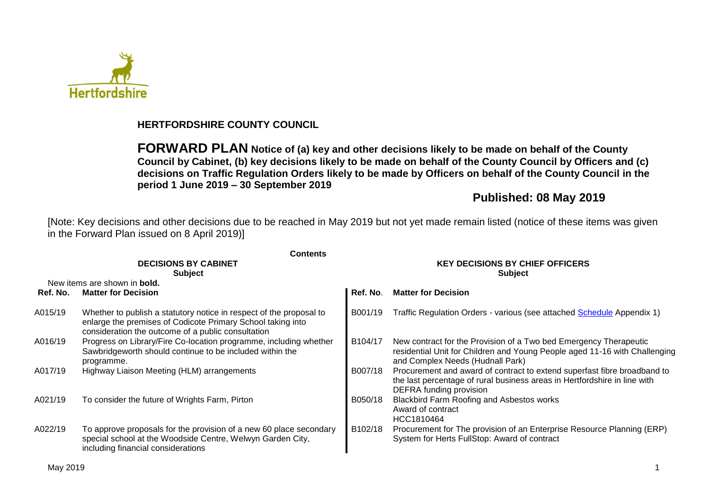

## **HERTFORDSHIRE COUNTY COUNCIL**

**FORWARD PLAN Notice of (a) key and other decisions likely to be made on behalf of the County Council by Cabinet, (b) key decisions likely to be made on behalf of the County Council by Officers and (c) decisions on Traffic Regulation Orders likely to be made by Officers on behalf of the County Council in the period 1 June 2019 – 30 September 2019**

# **Published: 08 May 2019**

[Note: Key decisions and other decisions due to be reached in May 2019 but not yet made remain listed (notice of these items was given in the Forward Plan issued on 8 April 2019)]

|          | <b>Contents</b>                                                                                                                                                                          |                                                          |                                                                                                                                                                                     |  |  |  |  |
|----------|------------------------------------------------------------------------------------------------------------------------------------------------------------------------------------------|----------------------------------------------------------|-------------------------------------------------------------------------------------------------------------------------------------------------------------------------------------|--|--|--|--|
|          | <b>DECISIONS BY CABINET</b><br><b>Subject</b>                                                                                                                                            | <b>KEY DECISIONS BY CHIEF OFFICERS</b><br><b>Subject</b> |                                                                                                                                                                                     |  |  |  |  |
|          | New items are shown in <b>bold.</b>                                                                                                                                                      |                                                          |                                                                                                                                                                                     |  |  |  |  |
| Ref. No. | <b>Matter for Decision</b>                                                                                                                                                               | Ref. No.                                                 | <b>Matter for Decision</b>                                                                                                                                                          |  |  |  |  |
| A015/19  | Whether to publish a statutory notice in respect of the proposal to<br>enlarge the premises of Codicote Primary School taking into<br>consideration the outcome of a public consultation | B001/19                                                  | Traffic Regulation Orders - various (see attached Schedule Appendix 1)                                                                                                              |  |  |  |  |
| A016/19  | Progress on Library/Fire Co-location programme, including whether<br>Sawbridgeworth should continue to be included within the<br>programme.                                              | B104/17                                                  | New contract for the Provision of a Two bed Emergency Therapeutic<br>residential Unit for Children and Young People aged 11-16 with Challenging<br>and Complex Needs (Hudnall Park) |  |  |  |  |
| A017/19  | Highway Liaison Meeting (HLM) arrangements                                                                                                                                               | B007/18                                                  | Procurement and award of contract to extend superfast fibre broadband to<br>the last percentage of rural business areas in Hertfordshire in line with<br>DEFRA funding provision    |  |  |  |  |
| A021/19  | To consider the future of Wrights Farm, Pirton                                                                                                                                           | B050/18                                                  | Blackbird Farm Roofing and Asbestos works<br>Award of contract<br>HCC1810464                                                                                                        |  |  |  |  |
| A022/19  | To approve proposals for the provision of a new 60 place secondary<br>special school at the Woodside Centre, Welwyn Garden City,<br>including financial considerations                   | B102/18                                                  | Procurement for The provision of an Enterprise Resource Planning (ERP)<br>System for Herts FullStop: Award of contract                                                              |  |  |  |  |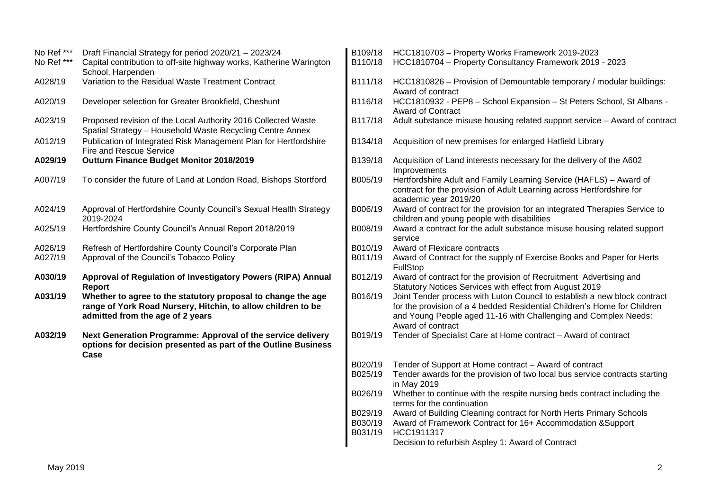| No Ref ***         | Draft Financial Strategy for period 2020/21 - 2023/24                                                                                                            |                               | B109/18 HCC1810703 - Property Works Framework 2019-2023                                                                                                                                                                                       |
|--------------------|------------------------------------------------------------------------------------------------------------------------------------------------------------------|-------------------------------|-----------------------------------------------------------------------------------------------------------------------------------------------------------------------------------------------------------------------------------------------|
| No Ref ***         | Capital contribution to off-site highway works, Katherine Warington<br>School, Harpenden                                                                         | B110/18                       | HCC1810704 - Property Consultancy Framework 2019 - 2023                                                                                                                                                                                       |
| A028/19            | Variation to the Residual Waste Treatment Contract                                                                                                               | B111/18                       | HCC1810826 - Provision of Demountable temporary / modular buildings:<br>Award of contract                                                                                                                                                     |
| A020/19            | Developer selection for Greater Brookfield, Cheshunt                                                                                                             | B116/18                       | HCC1810932 - PEP8 - School Expansion - St Peters School, St Albans -<br><b>Award of Contract</b>                                                                                                                                              |
| A023/19            | Proposed revision of the Local Authority 2016 Collected Waste<br>Spatial Strategy - Household Waste Recycling Centre Annex                                       | B117/18                       | Adult substance misuse housing related support service - Award of contract                                                                                                                                                                    |
| A012/19            | Publication of Integrated Risk Management Plan for Hertfordshire<br>Fire and Rescue Service                                                                      | B134/18                       | Acquisition of new premises for enlarged Hatfield Library                                                                                                                                                                                     |
| A029/19            | Outturn Finance Budget Monitor 2018/2019                                                                                                                         | B139/18                       | Acquisition of Land interests necessary for the delivery of the A602<br>Improvements                                                                                                                                                          |
| A007/19            | To consider the future of Land at London Road, Bishops Stortford                                                                                                 | B005/19                       | Hertfordshire Adult and Family Learning Service (HAFLS) - Award of<br>contract for the provision of Adult Learning across Hertfordshire for<br>academic year 2019/20                                                                          |
| A024/19            | Approval of Hertfordshire County Council's Sexual Health Strategy<br>2019-2024                                                                                   | B006/19                       | Award of contract for the provision for an integrated Therapies Service to<br>children and young people with disabilities                                                                                                                     |
| A025/19            | Hertfordshire County Council's Annual Report 2018/2019                                                                                                           | B008/19                       | Award a contract for the adult substance misuse housing related support<br>service                                                                                                                                                            |
| A026/19<br>A027/19 | Refresh of Hertfordshire County Council's Corporate Plan<br>Approval of the Council's Tobacco Policy                                                             | B010/19<br>B011/19            | Award of Flexicare contracts<br>Award of Contract for the supply of Exercise Books and Paper for Herts<br><b>FullStop</b>                                                                                                                     |
| A030/19            | Approval of Regulation of Investigatory Powers (RIPA) Annual<br>Report                                                                                           | B012/19                       | Award of contract for the provision of Recruitment Advertising and<br>Statutory Notices Services with effect from August 2019                                                                                                                 |
| A031/19            | Whether to agree to the statutory proposal to change the age<br>range of York Road Nursery, Hitchin, to allow children to be<br>admitted from the age of 2 years | B016/19                       | Joint Tender process with Luton Council to establish a new block contract<br>for the provision of a 4 bedded Residential Children's Home for Children<br>and Young People aged 11-16 with Challenging and Complex Needs:<br>Award of contract |
| A032/19            | Next Generation Programme: Approval of the service delivery<br>options for decision presented as part of the Outline Business<br>Case                            | B019/19                       | Tender of Specialist Care at Home contract - Award of contract                                                                                                                                                                                |
|                    |                                                                                                                                                                  | B020/19<br>B025/19            | Tender of Support at Home contract - Award of contract<br>Tender awards for the provision of two local bus service contracts starting<br>in May 2019                                                                                          |
|                    |                                                                                                                                                                  | B026/19                       | Whether to continue with the respite nursing beds contract including the<br>terms for the continuation                                                                                                                                        |
|                    |                                                                                                                                                                  | B029/19<br>B030/19<br>B031/19 | Award of Building Cleaning contract for North Herts Primary Schools<br>Award of Framework Contract for 16+ Accommodation & Support<br>HCC1911317<br>Decision to refurbish Aspley 1: Award of Contract                                         |
|                    |                                                                                                                                                                  |                               |                                                                                                                                                                                                                                               |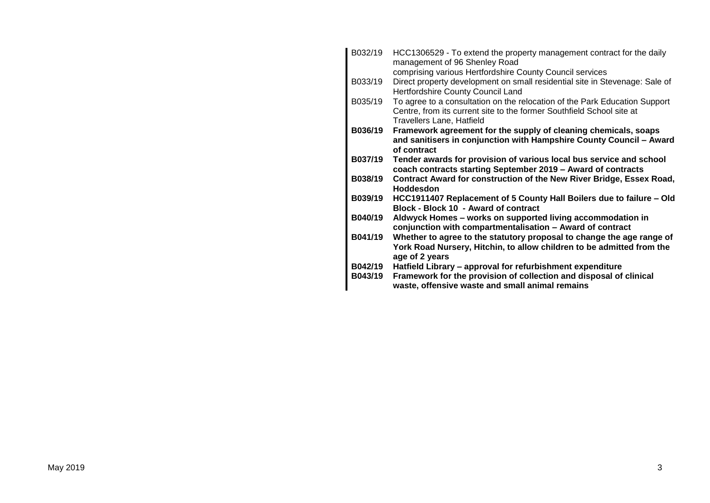| B032/19 | HCC1306529 - To extend the property management contract for the daily<br>management of 96 Shenley Road                                                                           |
|---------|----------------------------------------------------------------------------------------------------------------------------------------------------------------------------------|
|         | comprising various Hertfordshire County Council services                                                                                                                         |
| B033/19 | Direct property development on small residential site in Stevenage: Sale of<br>Hertfordshire County Council Land                                                                 |
| B035/19 | To agree to a consultation on the relocation of the Park Education Support<br>Centre, from its current site to the former Southfield School site at<br>Travellers Lane, Hatfield |
| B036/19 | Framework agreement for the supply of cleaning chemicals, soaps                                                                                                                  |
|         |                                                                                                                                                                                  |
|         | and sanitisers in conjunction with Hampshire County Council - Award<br>of contract                                                                                               |
|         |                                                                                                                                                                                  |
| B037/19 | Tender awards for provision of various local bus service and school                                                                                                              |
|         | coach contracts starting September 2019 - Award of contracts                                                                                                                     |
| B038/19 | Contract Award for construction of the New River Bridge, Essex Road,                                                                                                             |
|         | Hoddesdon                                                                                                                                                                        |
| B039/19 | HCC1911407 Replacement of 5 County Hall Boilers due to failure - Old<br>Block - Block 10 - Award of contract                                                                     |
| B040/19 | Aldwyck Homes – works on supported living accommodation in                                                                                                                       |
|         | conjunction with compartmentalisation - Award of contract                                                                                                                        |
| B041/19 | Whether to agree to the statutory proposal to change the age range of<br>York Road Nursery, Hitchin, to allow children to be admitted from the                                   |
|         | age of 2 years                                                                                                                                                                   |
| B042/19 | Hatfield Library - approval for refurbishment expenditure                                                                                                                        |
| B043/19 | Framework for the provision of collection and disposal of clinical                                                                                                               |
|         | waste, offensive waste and small animal remains                                                                                                                                  |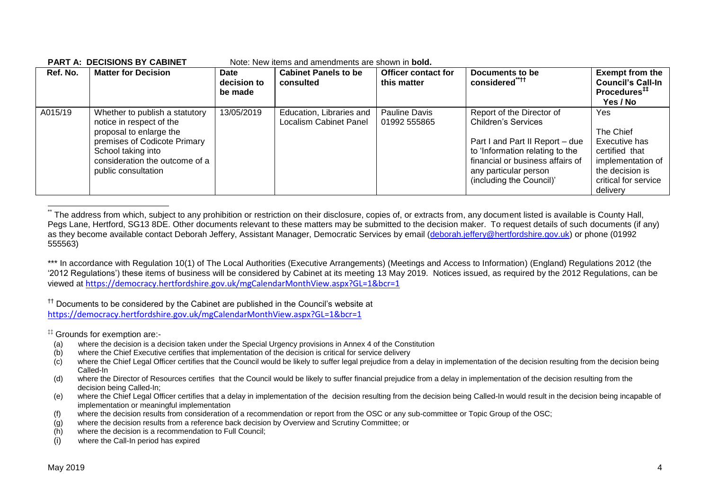| Ref. No. | <b>Matter for Decision</b>                                                                                                                                                                           | Date<br>decision to<br>be made | <b>Cabinet Panels to be</b><br>consulted                  | <b>Officer contact for</b><br>this matter | Documents to be<br>considered <sup>"††</sup>                                                                                                                                                                           | <b>Exempt from the</b><br><b>Council's Call-In</b><br>Procedures <sup>##</sup><br>Yes / No                                      |
|----------|------------------------------------------------------------------------------------------------------------------------------------------------------------------------------------------------------|--------------------------------|-----------------------------------------------------------|-------------------------------------------|------------------------------------------------------------------------------------------------------------------------------------------------------------------------------------------------------------------------|---------------------------------------------------------------------------------------------------------------------------------|
| A015/19  | Whether to publish a statutory<br>notice in respect of the<br>proposal to enlarge the<br>premises of Codicote Primary<br>School taking into<br>consideration the outcome of a<br>public consultation | 13/05/2019                     | Education, Libraries and<br><b>Localism Cabinet Panel</b> | Pauline Davis<br>01992 555865             | Report of the Director of<br><b>Children's Services</b><br>Part I and Part II Report - due<br>to 'Information relating to the<br>financial or business affairs of<br>any particular person<br>(including the Council)' | Yes<br>The Chief<br>Executive has<br>certified that<br>implementation of<br>the decision is<br>critical for service<br>delivery |

#### **PART A: DECISIONS BY CABINET** Note: New items and amendments are shown in **bold.**

1 The address from which, subject to any prohibition or restriction on their disclosure, copies of, or extracts from, any document listed is available is County Hall, Pegs Lane, Hertford, SG13 8DE. Other documents relevant to these matters may be submitted to the decision maker. To request details of such documents (if any) as they become available contact Deborah Jeffery, Assistant Manager, Democratic Services by email [\(deborah.jeffery@hertfordshire.gov.uk\)](mailto:deborah.jeffery@hertfordshire.gov.uk) or phone (01992 555563)

\*\*\* In accordance with Regulation 10(1) of The Local Authorities (Executive Arrangements) (Meetings and Access to Information) (England) Regulations 2012 (the '2012 Regulations') these items of business will be considered by Cabinet at its meeting 13 May 2019. Notices issued, as required by the 2012 Regulations, can be viewed at <https://democracy.hertfordshire.gov.uk/mgCalendarMonthView.aspx?GL=1&bcr=1>

<sup>††</sup> Documents to be considered by the Cabinet are published in the Council's website at <https://democracy.hertfordshire.gov.uk/mgCalendarMonthView.aspx?GL=1&bcr=1>

‡‡ Grounds for exemption are:-

- (a) where the decision is a decision taken under the Special Urgency provisions in Annex 4 of the Constitution
- (b) where the Chief Executive certifies that implementation of the decision is critical for service delivery
- $(c)$  where the Chief Legal Officer certifies that the Council would be likely to suffer legal prejudice from a delay in implementation of the decision resulting from the decision being Called-In
- (d) where the Director of Resources certifies that the Council would be likely to suffer financial prejudice from a delay in implementation of the decision resulting from the decision being Called-In;
- (e) where the Chief Legal Officer certifies that a delay in implementation of the decision resulting from the decision being Called-In would result in the decision being incapable of implementation or meaningful implementation
- (f) where the decision results from consideration of a recommendation or report from the OSC or any sub-committee or Topic Group of the OSC;
- (g) where the decision results from a reference back decision by Overview and Scrutiny Committee; or
- (h) where the decision is a recommendation to Full Council;
- (i) where the Call-In period has expired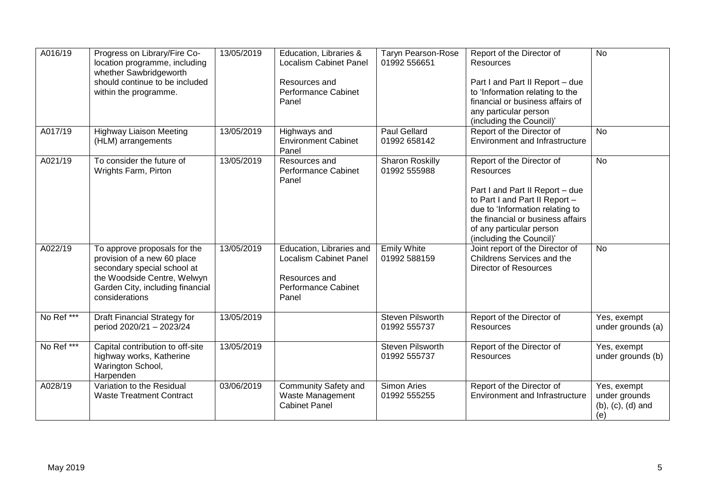| A016/19               | Progress on Library/Fire Co-<br>location programme, including<br>whether Sawbridgeworth<br>should continue to be included<br>within the programme.                              | 13/05/2019 | Education, Libraries &<br><b>Localism Cabinet Panel</b><br>Resources and<br><b>Performance Cabinet</b><br>Panel   | <b>Taryn Pearson-Rose</b><br>01992 556651 | Report of the Director of<br><b>Resources</b><br>Part I and Part II Report - due<br>to 'Information relating to the<br>financial or business affairs of<br>any particular person<br>(including the Council)'                                       | $\overline{N}$                                                   |
|-----------------------|---------------------------------------------------------------------------------------------------------------------------------------------------------------------------------|------------|-------------------------------------------------------------------------------------------------------------------|-------------------------------------------|----------------------------------------------------------------------------------------------------------------------------------------------------------------------------------------------------------------------------------------------------|------------------------------------------------------------------|
| A017/19               | <b>Highway Liaison Meeting</b><br>(HLM) arrangements                                                                                                                            | 13/05/2019 | Highways and<br><b>Environment Cabinet</b><br>Panel                                                               | <b>Paul Gellard</b><br>01992 658142       | Report of the Director of<br><b>Environment and Infrastructure</b>                                                                                                                                                                                 | $\overline{N}$                                                   |
| A021/19               | To consider the future of<br>Wrights Farm, Pirton                                                                                                                               | 13/05/2019 | Resources and<br><b>Performance Cabinet</b><br>Panel                                                              | <b>Sharon Roskilly</b><br>01992 555988    | Report of the Director of<br><b>Resources</b><br>Part I and Part II Report - due<br>to Part I and Part II Report -<br>due to 'Information relating to<br>the financial or business affairs<br>of any particular person<br>(including the Council)' | <b>No</b>                                                        |
| A022/19               | To approve proposals for the<br>provision of a new 60 place<br>secondary special school at<br>the Woodside Centre, Welwyn<br>Garden City, including financial<br>considerations | 13/05/2019 | Education, Libraries and<br><b>Localism Cabinet Panel</b><br>Resources and<br><b>Performance Cabinet</b><br>Panel | <b>Emily White</b><br>01992 588159        | Joint report of the Director of<br>Childrens Services and the<br><b>Director of Resources</b>                                                                                                                                                      | <b>No</b>                                                        |
| No Ref <sup>***</sup> | Draft Financial Strategy for<br>period 2020/21 - 2023/24                                                                                                                        | 13/05/2019 |                                                                                                                   | <b>Steven Pilsworth</b><br>01992 555737   | Report of the Director of<br>Resources                                                                                                                                                                                                             | Yes, exempt<br>under grounds (a)                                 |
| No Ref ***            | Capital contribution to off-site<br>highway works, Katherine<br>Warington School,<br>Harpenden                                                                                  | 13/05/2019 |                                                                                                                   | <b>Steven Pilsworth</b><br>01992 555737   | Report of the Director of<br><b>Resources</b>                                                                                                                                                                                                      | Yes, exempt<br>under grounds (b)                                 |
| A028/19               | Variation to the Residual<br><b>Waste Treatment Contract</b>                                                                                                                    | 03/06/2019 | Community Safety and<br>Waste Management<br><b>Cabinet Panel</b>                                                  | Simon Aries<br>01992 555255               | Report of the Director of<br><b>Environment and Infrastructure</b>                                                                                                                                                                                 | Yes, exempt<br>under grounds<br>$(b)$ , $(c)$ , $(d)$ and<br>(e) |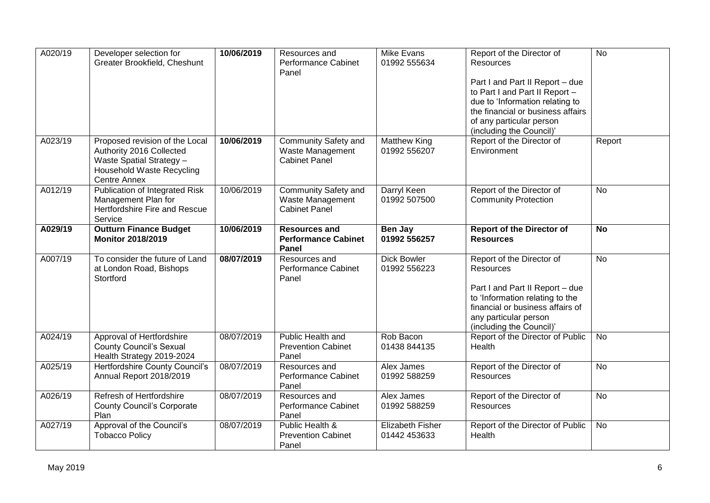| A020/19<br>Developer selection for<br>Greater Brookfield, Cheshunt |                                                      | 10/06/2019 | Resources and<br>Performance Cabinet     | <b>Mike Evans</b><br>01992 555634 | Report of the Director of<br><b>Resources</b>        | $\overline{N}$ |
|--------------------------------------------------------------------|------------------------------------------------------|------------|------------------------------------------|-----------------------------------|------------------------------------------------------|----------------|
|                                                                    |                                                      |            | Panel                                    |                                   |                                                      |                |
|                                                                    |                                                      |            |                                          |                                   | Part I and Part II Report - due                      |                |
|                                                                    |                                                      |            |                                          |                                   | to Part I and Part II Report -                       |                |
|                                                                    |                                                      |            |                                          |                                   | due to 'Information relating to                      |                |
|                                                                    |                                                      |            |                                          |                                   | the financial or business affairs                    |                |
|                                                                    |                                                      |            |                                          |                                   | of any particular person<br>(including the Council)' |                |
| A023/19                                                            | Proposed revision of the Local                       | 10/06/2019 | <b>Community Safety and</b>              | <b>Matthew King</b>               | Report of the Director of                            | Report         |
|                                                                    | Authority 2016 Collected                             |            | Waste Management                         | 01992 556207                      | Environment                                          |                |
|                                                                    | <b>Waste Spatial Strategy -</b>                      |            | <b>Cabinet Panel</b>                     |                                   |                                                      |                |
|                                                                    | Household Waste Recycling                            |            |                                          |                                   |                                                      |                |
|                                                                    | <b>Centre Annex</b>                                  |            |                                          |                                   |                                                      |                |
| A012/19                                                            | Publication of Integrated Risk                       | 10/06/2019 | <b>Community Safety and</b>              | Darryl Keen                       | Report of the Director of                            | <b>No</b>      |
|                                                                    | Management Plan for<br>Hertfordshire Fire and Rescue |            | Waste Management<br><b>Cabinet Panel</b> | 01992 507500                      | <b>Community Protection</b>                          |                |
|                                                                    | Service                                              |            |                                          |                                   |                                                      |                |
| A029/19                                                            | <b>Outturn Finance Budget</b>                        | 10/06/2019 | <b>Resources and</b>                     | Ben Jay                           | <b>Report of the Director of</b>                     | <b>No</b>      |
|                                                                    | <b>Monitor 2018/2019</b>                             |            | <b>Performance Cabinet</b>               | 01992 556257                      | <b>Resources</b>                                     |                |
|                                                                    |                                                      |            | Panel                                    |                                   |                                                      |                |
| A007/19                                                            | To consider the future of Land                       | 08/07/2019 | Resources and                            | <b>Dick Bowler</b>                | Report of the Director of                            | $\overline{N}$ |
|                                                                    | at London Road, Bishops<br>Stortford                 |            | <b>Performance Cabinet</b><br>Panel      | 01992 556223                      | <b>Resources</b>                                     |                |
|                                                                    |                                                      |            |                                          |                                   | Part I and Part II Report - due                      |                |
|                                                                    |                                                      |            |                                          |                                   | to 'Information relating to the                      |                |
|                                                                    |                                                      |            |                                          |                                   | financial or business affairs of                     |                |
|                                                                    |                                                      |            |                                          |                                   | any particular person                                |                |
|                                                                    |                                                      |            |                                          |                                   | (including the Council)'                             |                |
| A024/19                                                            | Approval of Hertfordshire                            | 08/07/2019 | Public Health and                        | Rob Bacon                         | Report of the Director of Public                     | <b>No</b>      |
|                                                                    | <b>County Council's Sexual</b>                       |            | <b>Prevention Cabinet</b>                | 01438 844135                      | Health                                               |                |
|                                                                    | Health Strategy 2019-2024                            |            | Panel                                    |                                   |                                                      |                |
| A025/19                                                            | Hertfordshire County Council's                       | 08/07/2019 | Resources and                            | Alex James<br>01992 588259        | Report of the Director of                            | <b>No</b>      |
|                                                                    | Annual Report 2018/2019                              |            | <b>Performance Cabinet</b><br>Panel      |                                   | Resources                                            |                |
| A026/19                                                            | Refresh of Hertfordshire                             | 08/07/2019 | Resources and                            | Alex James                        | Report of the Director of                            | $\overline{N}$ |
|                                                                    | <b>County Council's Corporate</b>                    |            | Performance Cabinet                      | 01992 588259                      | Resources                                            |                |
|                                                                    | Plan                                                 |            | Panel                                    |                                   |                                                      |                |
| A027/19                                                            | Approval of the Council's                            | 08/07/2019 | Public Health &                          | <b>Elizabeth Fisher</b>           | Report of the Director of Public                     | <b>No</b>      |
|                                                                    | <b>Tobacco Policy</b>                                |            | <b>Prevention Cabinet</b>                | 01442 453633                      | Health                                               |                |
|                                                                    |                                                      |            | Panel                                    |                                   |                                                      |                |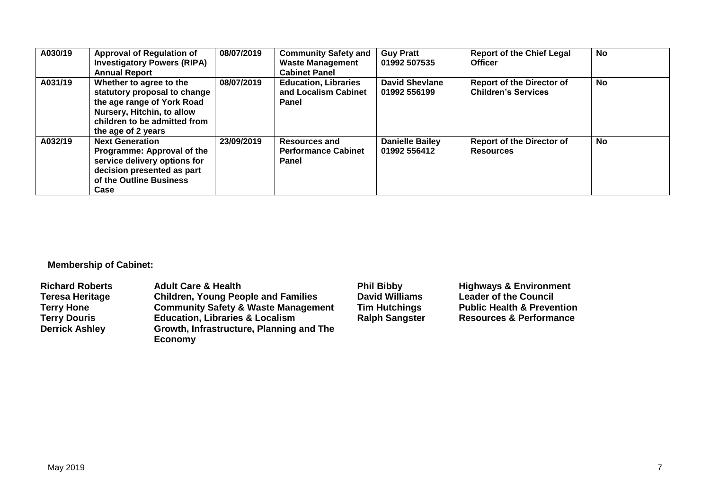| A030/19 | <b>Approval of Regulation of</b><br><b>Investigatory Powers (RIPA)</b><br><b>Annual Report</b>                                                                            | 08/07/2019 | <b>Community Safety and</b><br><b>Waste Management</b><br><b>Cabinet Panel</b> | <b>Guy Pratt</b><br>01992 507535       | <b>Report of the Chief Legal</b><br><b>Officer</b>             | No |  |
|---------|---------------------------------------------------------------------------------------------------------------------------------------------------------------------------|------------|--------------------------------------------------------------------------------|----------------------------------------|----------------------------------------------------------------|----|--|
| A031/19 | Whether to agree to the<br>statutory proposal to change<br>the age range of York Road<br>Nursery, Hitchin, to allow<br>children to be admitted from<br>the age of 2 years | 08/07/2019 | <b>Education, Libraries</b><br>and Localism Cabinet<br>Panel                   | <b>David Shevlane</b><br>01992 556199  | <b>Report of the Director of</b><br><b>Children's Services</b> | No |  |
| A032/19 | <b>Next Generation</b><br>Programme: Approval of the<br>service delivery options for<br>decision presented as part<br>of the Outline Business<br>Case                     | 23/09/2019 | <b>Resources and</b><br><b>Performance Cabinet</b><br>Panel                    | <b>Danielle Bailey</b><br>01992 556412 | <b>Report of the Director of</b><br><b>Resources</b>           | No |  |

**Membership of Cabinet:** 

| <b>Richard Roberts</b> | <b>Adult Care &amp; Health</b>                      | <b>Phil Bibby</b>     | <b>Highways &amp; Environment</b>     |
|------------------------|-----------------------------------------------------|-----------------------|---------------------------------------|
| <b>Teresa Heritage</b> | <b>Children, Young People and Families</b>          | <b>David Williams</b> | <b>Leader of the Council</b>          |
| <b>Terry Hone</b>      | <b>Community Safety &amp; Waste Management</b>      | <b>Tim Hutchings</b>  | <b>Public Health &amp; Prevention</b> |
| <b>Terry Douris</b>    | <b>Education, Libraries &amp; Localism</b>          | <b>Ralph Sangster</b> | <b>Resources &amp; Performance</b>    |
| <b>Derrick Ashley</b>  | Growth, Infrastructure, Planning and The<br>Economy |                       |                                       |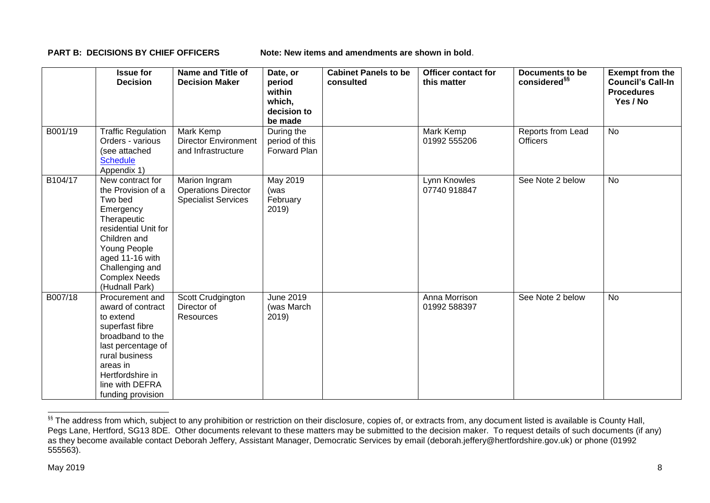**PART B: DECISIONS BY CHIEF OFFICERS Note: New items and amendments are shown in bold.** 

|         | <b>Issue for</b><br><b>Decision</b>                                                                                                                                                                                   | <b>Name and Title of</b><br><b>Decision Maker</b>                         | Date, or<br>period<br>within<br>which,<br>decision to<br>be made | <b>Cabinet Panels to be</b><br>consulted | <b>Officer contact for</b><br>this matter | <b>Documents to be</b><br>considered <sup>§§</sup> | <b>Exempt from the</b><br><b>Council's Call-In</b><br><b>Procedures</b><br>Yes / No |
|---------|-----------------------------------------------------------------------------------------------------------------------------------------------------------------------------------------------------------------------|---------------------------------------------------------------------------|------------------------------------------------------------------|------------------------------------------|-------------------------------------------|----------------------------------------------------|-------------------------------------------------------------------------------------|
| B001/19 | <b>Traffic Regulation</b><br>Orders - various<br>(see attached<br><b>Schedule</b><br>Appendix 1)                                                                                                                      | Mark Kemp<br><b>Director Environment</b><br>and Infrastructure            | During the<br>period of this<br>Forward Plan                     |                                          | Mark Kemp<br>01992 555206                 | Reports from Lead<br><b>Officers</b>               | <b>No</b>                                                                           |
| B104/17 | New contract for<br>the Provision of a<br>Two bed<br>Emergency<br>Therapeutic<br>residential Unit for<br>Children and<br>Young People<br>aged 11-16 with<br>Challenging and<br><b>Complex Needs</b><br>(Hudnall Park) | Marion Ingram<br><b>Operations Director</b><br><b>Specialist Services</b> | <b>May 2019</b><br>(was<br>February<br>2019)                     |                                          | Lynn Knowles<br>07740 918847              | See Note 2 below                                   | <b>No</b>                                                                           |
| B007/18 | Procurement and<br>award of contract<br>to extend<br>superfast fibre<br>broadband to the<br>last percentage of<br>rural business<br>areas in<br>Hertfordshire in<br>line with DEFRA<br>funding provision              | Scott Crudgington<br>Director of<br>Resources                             | <b>June 2019</b><br>(was March<br>2019)                          |                                          | Anna Morrison<br>01992 588397             | See Note 2 below                                   | <b>No</b>                                                                           |

<sup>&</sup>lt;sup>§§</sup> The address from which, subject to any prohibition or restriction on their disclosure, copies of, or extracts from, any document listed is available is County Hall, Pegs Lane, Hertford, SG13 8DE. Other documents relevant to these matters may be submitted to the decision maker. To request details of such documents (if any) as they become available contact Deborah Jeffery, Assistant Manager, Democratic Services by email (deborah.jeffery@hertfordshire.gov.uk) or phone (01992 555563).

-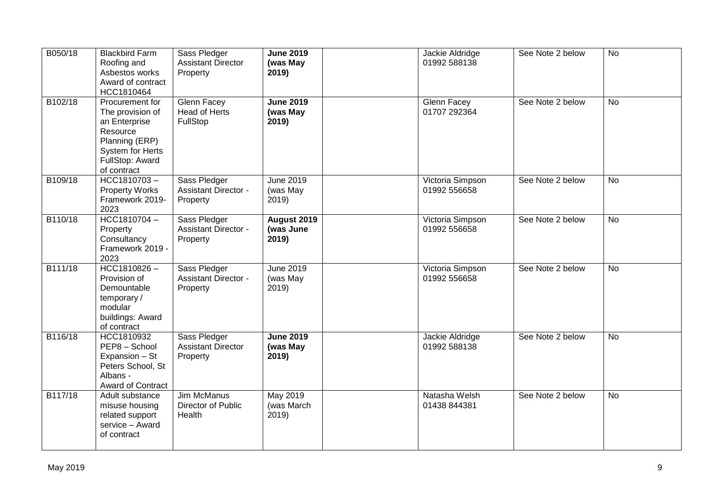| B050/18 | <b>Blackbird Farm</b><br>Roofing and<br>Asbestos works<br>Award of contract<br>HCC1810464                                                       | Sass Pledger<br><b>Assistant Director</b><br>Property   | <b>June 2019</b><br>(was May<br>2019)    | Jackie Aldridge<br>01992 588138  | See Note 2 below | <b>No</b> |
|---------|-------------------------------------------------------------------------------------------------------------------------------------------------|---------------------------------------------------------|------------------------------------------|----------------------------------|------------------|-----------|
| B102/18 | Procurement for<br>The provision of<br>an Enterprise<br>Resource<br>Planning (ERP)<br><b>System for Herts</b><br>FullStop: Award<br>of contract | <b>Glenn Facey</b><br><b>Head of Herts</b><br>FullStop  | <b>June 2019</b><br>(was May<br>2019)    | Glenn Facey<br>01707 292364      | See Note 2 below | <b>No</b> |
| B109/18 | HCC1810703-<br><b>Property Works</b><br>Framework 2019-<br>2023                                                                                 | Sass Pledger<br><b>Assistant Director -</b><br>Property | <b>June 2019</b><br>(was May<br>2019)    | Victoria Simpson<br>01992 556658 | See Note 2 below | <b>No</b> |
| B110/18 | HCC1810704-<br>Property<br>Consultancy<br>Framework 2019 -<br>2023                                                                              | Sass Pledger<br><b>Assistant Director -</b><br>Property | <b>August 2019</b><br>(was June<br>2019) | Victoria Simpson<br>01992 556658 | See Note 2 below | <b>No</b> |
| B111/18 | $HCC1810826 -$<br>Provision of<br>Demountable<br>temporary/<br>modular<br>buildings: Award<br>of contract                                       | Sass Pledger<br><b>Assistant Director -</b><br>Property | <b>June 2019</b><br>(was May<br>2019)    | Victoria Simpson<br>01992 556658 | See Note 2 below | <b>No</b> |
| B116/18 | HCC1810932<br>PEP8 - School<br>Expansion - St<br>Peters School, St<br>Albans -<br>Award of Contract                                             | Sass Pledger<br><b>Assistant Director</b><br>Property   | <b>June 2019</b><br>(was May<br>2019)    | Jackie Aldridge<br>01992 588138  | See Note 2 below | No        |
| B117/18 | Adult substance<br>misuse housing<br>related support<br>service - Award<br>of contract                                                          | <b>Jim McManus</b><br>Director of Public<br>Health      | May 2019<br>(was March<br>2019)          | Natasha Welsh<br>01438 844381    | See Note 2 below | <b>No</b> |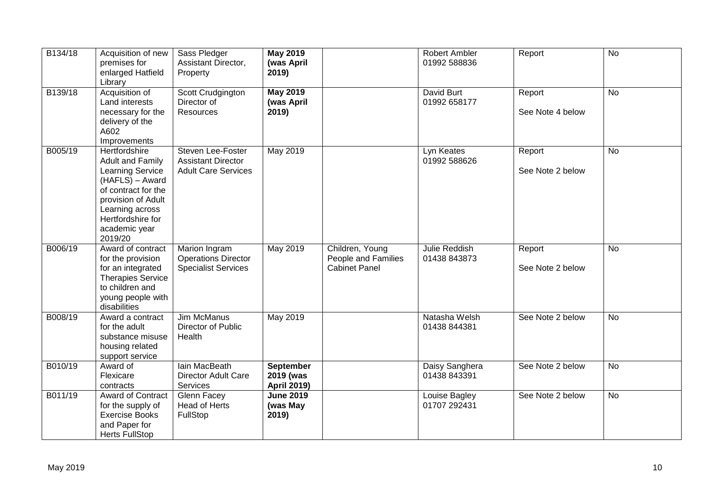| B134/18 | Acquisition of new<br>premises for<br>enlarged Hatfield<br>Library                                                                                                                                      | Sass Pledger<br>Assistant Director,<br>Property                              | <b>May 2019</b><br>(was April<br>2019)              |                                                                | Robert Ambler<br>01992 588836  | Report                     | $\overline{N}$ |
|---------|---------------------------------------------------------------------------------------------------------------------------------------------------------------------------------------------------------|------------------------------------------------------------------------------|-----------------------------------------------------|----------------------------------------------------------------|--------------------------------|----------------------------|----------------|
| B139/18 | Acquisition of<br>Land interests<br>necessary for the<br>delivery of the<br>A602<br>Improvements                                                                                                        | Scott Crudgington<br>Director of<br>Resources                                | <b>May 2019</b><br>(was April<br>2019)              |                                                                | David Burt<br>01992 658177     | Report<br>See Note 4 below | <b>No</b>      |
| B005/19 | Hertfordshire<br><b>Adult and Family</b><br><b>Learning Service</b><br>(HAFLS) - Award<br>of contract for the<br>provision of Adult<br>Learning across<br>Hertfordshire for<br>academic year<br>2019/20 | Steven Lee-Foster<br><b>Assistant Director</b><br><b>Adult Care Services</b> | <b>May 2019</b>                                     |                                                                | Lyn Keates<br>01992 588626     | Report<br>See Note 2 below | <b>No</b>      |
| B006/19 | Award of contract<br>for the provision<br>for an integrated<br><b>Therapies Service</b><br>to children and<br>young people with<br>disabilities                                                         | Marion Ingram<br><b>Operations Director</b><br><b>Specialist Services</b>    | May 2019                                            | Children, Young<br>People and Families<br><b>Cabinet Panel</b> | Julie Reddish<br>01438 843873  | Report<br>See Note 2 below | No             |
| B008/19 | Award a contract<br>for the adult<br>substance misuse<br>housing related<br>support service                                                                                                             | Jim McManus<br>Director of Public<br>Health                                  | May 2019                                            |                                                                | Natasha Welsh<br>01438 844381  | See Note 2 below           | <b>No</b>      |
| B010/19 | Award of<br>Flexicare<br>contracts                                                                                                                                                                      | lain MacBeath<br><b>Director Adult Care</b><br>Services                      | <b>September</b><br>2019 (was<br><b>April 2019)</b> |                                                                | Daisy Sanghera<br>01438 843391 | See Note 2 below           | <b>No</b>      |
| B011/19 | Award of Contract<br>for the supply of<br><b>Exercise Books</b><br>and Paper for<br><b>Herts FullStop</b>                                                                                               | Glenn Facey<br>Head of Herts<br>FullStop                                     | <b>June 2019</b><br>(was May<br>2019)               |                                                                | Louise Bagley<br>01707 292431  | See Note 2 below           | No             |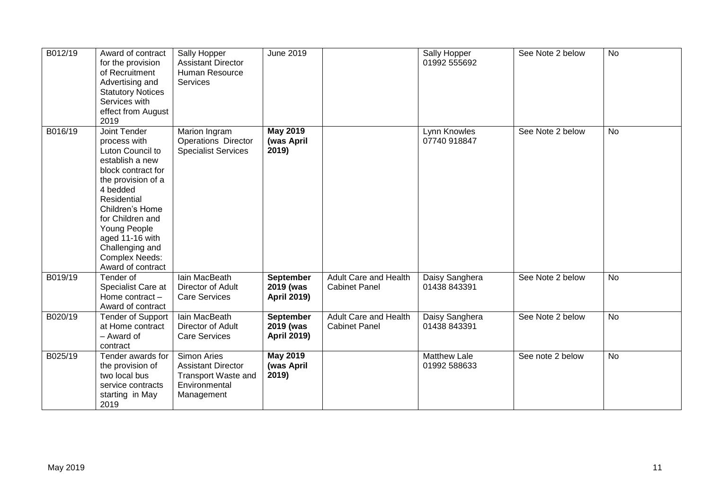| B012/19 | Award of contract<br>for the provision<br>of Recruitment<br>Advertising and<br><b>Statutory Notices</b><br>Services with<br>effect from August<br>2019                                                                                                                                | Sally Hopper<br><b>Assistant Director</b><br>Human Resource<br><b>Services</b>                               | June 2019                                    |                                                      | Sally Hopper<br>01992 555692        | See Note 2 below | <b>No</b> |
|---------|---------------------------------------------------------------------------------------------------------------------------------------------------------------------------------------------------------------------------------------------------------------------------------------|--------------------------------------------------------------------------------------------------------------|----------------------------------------------|------------------------------------------------------|-------------------------------------|------------------|-----------|
| B016/19 | Joint Tender<br>process with<br>Luton Council to<br>establish a new<br>block contract for<br>the provision of a<br>4 bedded<br>Residential<br>Children's Home<br>for Children and<br>Young People<br>aged 11-16 with<br>Challenging and<br><b>Complex Needs:</b><br>Award of contract | Marion Ingram<br><b>Operations Director</b><br><b>Specialist Services</b>                                    | <b>May 2019</b><br>(was April<br>2019)       |                                                      | Lynn Knowles<br>07740 918847        | See Note 2 below | <b>No</b> |
| B019/19 | Tender of<br>Specialist Care at<br>Home contract -<br>Award of contract                                                                                                                                                                                                               | lain MacBeath<br>Director of Adult<br><b>Care Services</b>                                                   | September<br>2019 (was<br><b>April 2019)</b> | <b>Adult Care and Health</b><br><b>Cabinet Panel</b> | Daisy Sanghera<br>01438 843391      | See Note 2 below | No        |
| B020/19 | <b>Tender of Support</b><br>at Home contract<br>- Award of<br>contract                                                                                                                                                                                                                | lain MacBeath<br>Director of Adult<br><b>Care Services</b>                                                   | September<br>2019 (was<br><b>April 2019)</b> | <b>Adult Care and Health</b><br><b>Cabinet Panel</b> | Daisy Sanghera<br>01438 843391      | See Note 2 below | <b>No</b> |
| B025/19 | Tender awards for<br>the provision of<br>two local bus<br>service contracts<br>starting in May<br>2019                                                                                                                                                                                | <b>Simon Aries</b><br><b>Assistant Director</b><br><b>Transport Waste and</b><br>Environmental<br>Management | <b>May 2019</b><br>(was April<br>2019)       |                                                      | <b>Matthew Lale</b><br>01992 588633 | See note 2 below | <b>No</b> |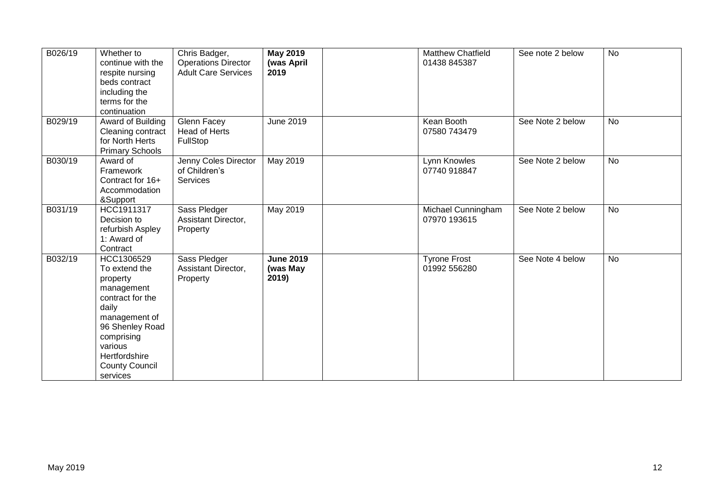| B026/19 | Whether to<br>continue with the<br>respite nursing<br>beds contract<br>including the<br>terms for the<br>continuation                                                                                 | Chris Badger,<br><b>Operations Director</b><br><b>Adult Care Services</b> | <b>May 2019</b><br>(was April<br>2019 | <b>Matthew Chatfield</b><br>01438 845387 | See note 2 below | <b>No</b> |
|---------|-------------------------------------------------------------------------------------------------------------------------------------------------------------------------------------------------------|---------------------------------------------------------------------------|---------------------------------------|------------------------------------------|------------------|-----------|
| B029/19 | Award of Building<br>Cleaning contract<br>for North Herts<br><b>Primary Schools</b>                                                                                                                   | Glenn Facey<br>Head of Herts<br>FullStop                                  | June 2019                             | Kean Booth<br>07580 743479               | See Note 2 below | <b>No</b> |
| B030/19 | Award of<br>Framework<br>Contract for 16+<br>Accommodation<br>&Support                                                                                                                                | Jenny Coles Director<br>of Children's<br>Services                         | May 2019                              | Lynn Knowles<br>07740 918847             | See Note 2 below | <b>No</b> |
| B031/19 | HCC1911317<br>Decision to<br>refurbish Aspley<br>1: Award of<br>Contract                                                                                                                              | Sass Pledger<br>Assistant Director,<br>Property                           | May 2019                              | Michael Cunningham<br>07970 193615       | See Note 2 below | No        |
| B032/19 | HCC1306529<br>To extend the<br>property<br>management<br>contract for the<br>daily<br>management of<br>96 Shenley Road<br>comprising<br>various<br>Hertfordshire<br><b>County Council</b><br>services | Sass Pledger<br>Assistant Director,<br>Property                           | <b>June 2019</b><br>(was May<br>2019) | <b>Tyrone Frost</b><br>01992 556280      | See Note 4 below | No        |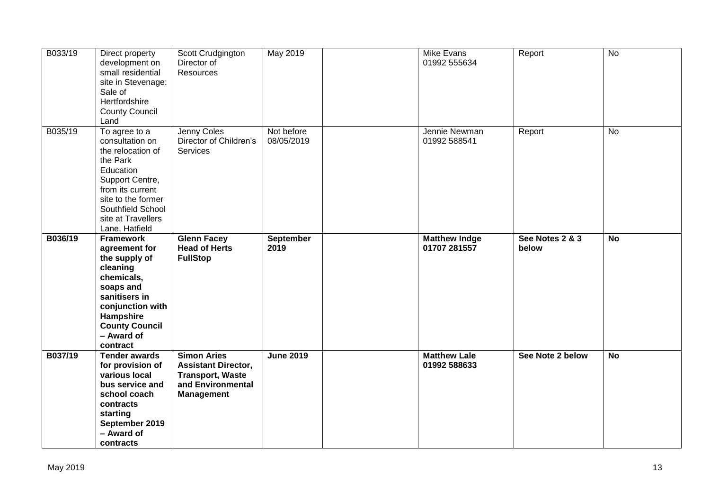| B033/19  | Direct property<br>development on<br>small residential<br>site in Stevenage:<br>Sale of<br>Hertfordshire<br><b>County Council</b><br>Land                                                                | Scott Crudgington<br>Director of<br>Resources                                                                         | May 2019                 | Mike Evans<br>01992 555634           | Report                   | $\overline{N}$ |
|----------|----------------------------------------------------------------------------------------------------------------------------------------------------------------------------------------------------------|-----------------------------------------------------------------------------------------------------------------------|--------------------------|--------------------------------------|--------------------------|----------------|
| B035/19  | To agree to a<br>consultation on<br>the relocation of<br>the Park<br>Education<br>Support Centre,<br>from its current<br>site to the former<br>Southfield School<br>site at Travellers<br>Lane, Hatfield | Jenny Coles<br>Director of Children's<br><b>Services</b>                                                              | Not before<br>08/05/2019 | Jennie Newman<br>01992 588541        | Report                   | $\overline{N}$ |
| B036/19  | <b>Framework</b><br>agreement for<br>the supply of<br>cleaning<br>chemicals,<br>soaps and<br>sanitisers in<br>conjunction with<br>Hampshire<br><b>County Council</b><br>- Award of<br>contract           | <b>Glenn Facey</b><br><b>Head of Herts</b><br><b>FullStop</b>                                                         | <b>September</b><br>2019 | <b>Matthew Indge</b><br>01707 281557 | See Notes 2 & 3<br>below | <b>No</b>      |
| B037/19  | <b>Tender awards</b><br>for provision of<br>various local<br>bus service and<br>school coach<br>contracts<br>starting<br>September 2019<br>- Award of<br>contracts                                       | <b>Simon Aries</b><br><b>Assistant Director,</b><br><b>Transport, Waste</b><br>and Environmental<br><b>Management</b> | <b>June 2019</b>         | <b>Matthew Lale</b><br>01992 588633  | See Note 2 below         | $\overline{N}$ |
| May 2019 |                                                                                                                                                                                                          |                                                                                                                       |                          |                                      |                          | 13             |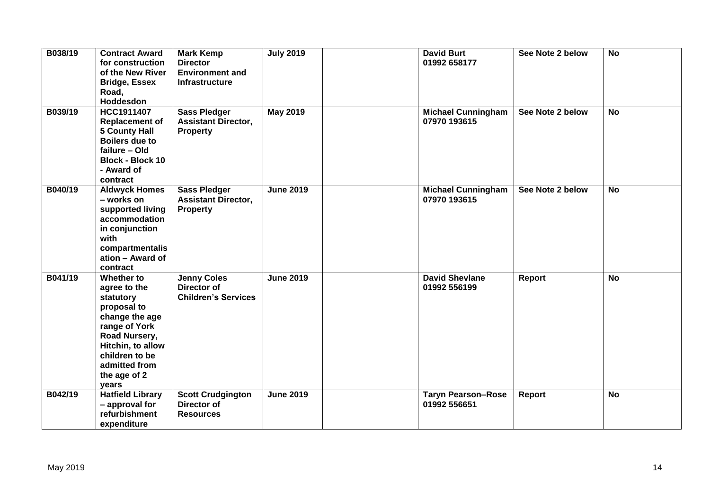| B038/19 | <b>Contract Award</b><br>for construction<br>of the New River<br><b>Bridge, Essex</b><br>Road,<br>Hoddesdon                                                                                 | <b>Mark Kemp</b><br><b>Director</b><br><b>Environment and</b><br><b>Infrastructure</b> | <b>July 2019</b> | <b>David Burt</b><br>01992 658177         | See Note 2 below | <b>No</b>      |
|---------|---------------------------------------------------------------------------------------------------------------------------------------------------------------------------------------------|----------------------------------------------------------------------------------------|------------------|-------------------------------------------|------------------|----------------|
| B039/19 | <b>HCC1911407</b><br><b>Replacement of</b><br>5 County Hall<br><b>Boilers due to</b><br>failure - Old<br><b>Block - Block 10</b><br>- Award of<br>contract                                  | <b>Sass Pledger</b><br><b>Assistant Director,</b><br>Property                          | <b>May 2019</b>  | <b>Michael Cunningham</b><br>07970 193615 | See Note 2 below | <b>No</b>      |
| B040/19 | <b>Aldwyck Homes</b><br>- works on<br>supported living<br>accommodation<br>in conjunction<br>with<br>compartmentalis<br>ation - Award of<br>contract                                        | <b>Sass Pledger</b><br><b>Assistant Director,</b><br>Property                          | <b>June 2019</b> | <b>Michael Cunningham</b><br>07970 193615 | See Note 2 below | <b>No</b>      |
| B041/19 | Whether to<br>agree to the<br>statutory<br>proposal to<br>change the age<br>range of York<br>Road Nursery,<br>Hitchin, to allow<br>children to be<br>admitted from<br>the age of 2<br>years | <b>Jenny Coles</b><br><b>Director of</b><br><b>Children's Services</b>                 | <b>June 2019</b> | <b>David Shevlane</b><br>01992 556199     | <b>Report</b>    | $\overline{N}$ |
| B042/19 | <b>Hatfield Library</b><br>- approval for<br>refurbishment<br>expenditure                                                                                                                   | <b>Scott Crudgington</b><br>Director of<br><b>Resources</b>                            | <b>June 2019</b> | <b>Taryn Pearson-Rose</b><br>01992 556651 | <b>Report</b>    | <b>No</b>      |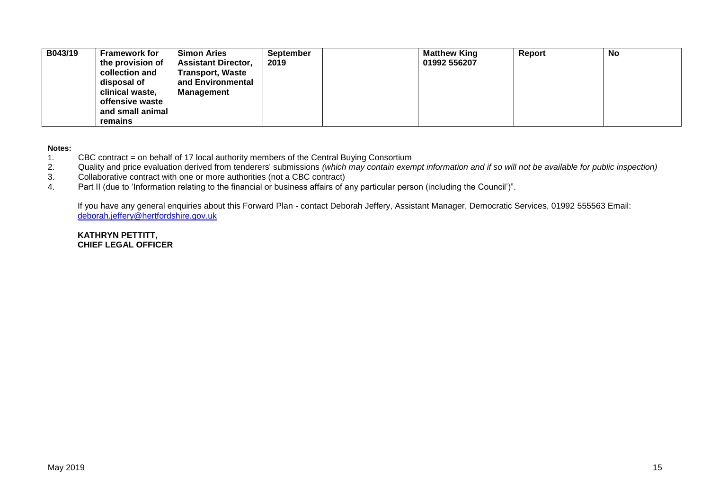| B043/19 | <b>Framework for</b> | <b>Simon Aries</b>         | <b>September</b> | <b>Matthew King</b> | Report | No |
|---------|----------------------|----------------------------|------------------|---------------------|--------|----|
|         | the provision of     | <b>Assistant Director,</b> | 2019             | 01992 556207        |        |    |
|         | collection and       | <b>Transport, Waste</b>    |                  |                     |        |    |
|         | disposal of          | and Environmental          |                  |                     |        |    |
|         | clinical waste,      | Management                 |                  |                     |        |    |
|         | offensive waste      |                            |                  |                     |        |    |
|         | and small animal     |                            |                  |                     |        |    |
|         | remains              |                            |                  |                     |        |    |

**Notes:** 

- 1. CBC contract = on behalf of 17 local authority members of the Central Buying Consortium<br>2. Quality and price evaluation derived from tenderers' submissions (which may contain exen
- 2. Quality and price evaluation derived from tenderers' submissions *(which may contain exempt information and if so will not be available for public inspection)*
- 3. Collaborative contract with one or more authorities (not a CBC contract)
- 4. Part II (due to 'Information relating to the financial or business affairs of any particular person (including the Council')".

If you have any general enquiries about this Forward Plan - contact Deborah Jeffery, Assistant Manager, Democratic Services, 01992 555563 Email: [deborah.jeffery@hertfordshire.gov.uk](mailto:deborah.jeffery@hertfordshire.gov.uk) 

**KATHRYN PETTITT, CHIEF LEGAL OFFICER**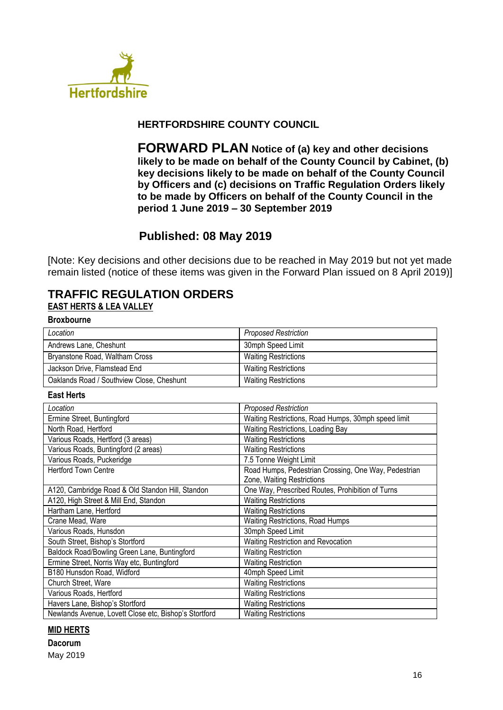

## **HERTFORDSHIRE COUNTY COUNCIL**

**FORWARD PLAN Notice of (a) key and other decisions likely to be made on behalf of the County Council by Cabinet, (b) key decisions likely to be made on behalf of the County Council by Officers and (c) decisions on Traffic Regulation Orders likely to be made by Officers on behalf of the County Council in the period 1 June 2019 – 30 September 2019**

# **Published: 08 May 2019**

[Note: Key decisions and other decisions due to be reached in May 2019 but not yet made remain listed (notice of these items was given in the Forward Plan issued on 8 April 2019)]

## **TRAFFIC REGULATION ORDERS EAST HERTS & LEA VALLEY**

#### **Broxbourne**

| Location                                  | <b>Proposed Restriction</b> |
|-------------------------------------------|-----------------------------|
| Andrews Lane, Cheshunt                    | 30mph Speed Limit           |
| Bryanstone Road, Waltham Cross            | <b>Waiting Restrictions</b> |
| Jackson Drive, Flamstead End              | <b>Waiting Restrictions</b> |
| Oaklands Road / Southview Close, Cheshunt | <b>Waiting Restrictions</b> |

#### **East Herts**

| Location                                              | <b>Proposed Restriction</b>                          |
|-------------------------------------------------------|------------------------------------------------------|
| Ermine Street, Buntingford                            | Waiting Restrictions, Road Humps, 30mph speed limit  |
| North Road, Hertford                                  | Waiting Restrictions, Loading Bay                    |
| Various Roads, Hertford (3 areas)                     | <b>Waiting Restrictions</b>                          |
| Various Roads, Buntingford (2 areas)                  | <b>Waiting Restrictions</b>                          |
| Various Roads, Puckeridge                             | 7.5 Tonne Weight Limit                               |
| <b>Hertford Town Centre</b>                           | Road Humps, Pedestrian Crossing, One Way, Pedestrian |
|                                                       | Zone, Waiting Restrictions                           |
| A120, Cambridge Road & Old Standon Hill, Standon      | One Way, Prescribed Routes, Prohibition of Turns     |
| A120, High Street & Mill End, Standon                 | <b>Waiting Restrictions</b>                          |
| Hartham Lane, Hertford                                | <b>Waiting Restrictions</b>                          |
| Crane Mead, Ware                                      | <b>Waiting Restrictions, Road Humps</b>              |
| Various Roads, Hunsdon                                | 30mph Speed Limit                                    |
| South Street, Bishop's Stortford                      | Waiting Restriction and Revocation                   |
| Baldock Road/Bowling Green Lane, Buntingford          | <b>Waiting Restriction</b>                           |
| Ermine Street, Norris Way etc, Buntingford            | <b>Waiting Restriction</b>                           |
| B180 Hunsdon Road, Widford                            | 40mph Speed Limit                                    |
| Church Street, Ware                                   | <b>Waiting Restrictions</b>                          |
| Various Roads, Hertford                               | <b>Waiting Restrictions</b>                          |
| Havers Lane, Bishop's Stortford                       | <b>Waiting Restrictions</b>                          |
| Newlands Avenue, Lovett Close etc, Bishop's Stortford | <b>Waiting Restrictions</b>                          |

#### **MID HERTS**

# **Dacorum**

May 2019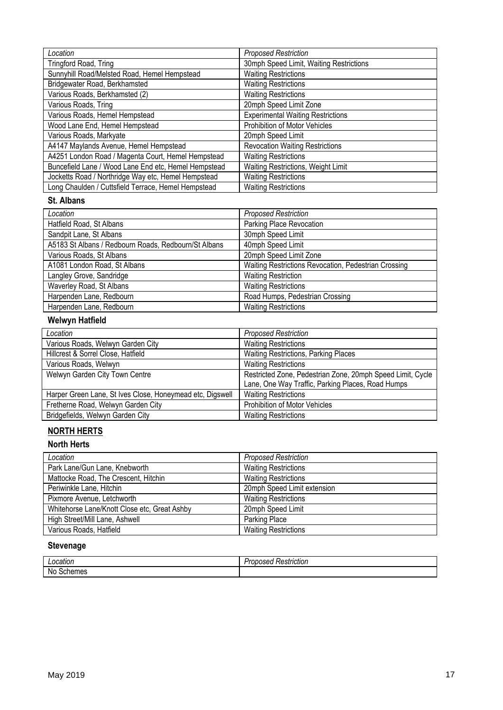| Location                                             | <b>Proposed Restriction</b>              |
|------------------------------------------------------|------------------------------------------|
| Tringford Road, Tring                                | 30mph Speed Limit, Waiting Restrictions  |
| Sunnyhill Road/Melsted Road, Hemel Hempstead         | <b>Waiting Restrictions</b>              |
| Bridgewater Road, Berkhamsted                        | <b>Waiting Restrictions</b>              |
| Various Roads, Berkhamsted (2)                       | <b>Waiting Restrictions</b>              |
| Various Roads, Tring                                 | 20mph Speed Limit Zone                   |
| Various Roads, Hemel Hempstead                       | <b>Experimental Waiting Restrictions</b> |
| Wood Lane End, Hemel Hempstead                       | Prohibition of Motor Vehicles            |
| Various Roads, Markyate                              | 20mph Speed Limit                        |
| A4147 Maylands Avenue, Hemel Hempstead               | <b>Revocation Waiting Restrictions</b>   |
| A4251 London Road / Magenta Court, Hemel Hempstead   | <b>Waiting Restrictions</b>              |
| Buncefield Lane / Wood Lane End etc, Hemel Hempstead | Waiting Restrictions, Weight Limit       |
| Jocketts Road / Northridge Way etc, Hemel Hempstead  | <b>Waiting Restrictions</b>              |
| Long Chaulden / Cuttsfield Terrace, Hemel Hempstead  | <b>Waiting Restrictions</b>              |

### **St. Albans**

| Location                                             | <b>Proposed Restriction</b>                          |
|------------------------------------------------------|------------------------------------------------------|
| Hatfield Road, St Albans                             | Parking Place Revocation                             |
| Sandpit Lane, St Albans                              | 30mph Speed Limit                                    |
| A5183 St Albans / Redbourn Roads, Redbourn/St Albans | 40mph Speed Limit                                    |
| Various Roads, St Albans                             | 20mph Speed Limit Zone                               |
| A1081 London Road, St Albans                         | Waiting Restrictions Revocation, Pedestrian Crossing |
| Langley Grove, Sandridge                             | <b>Waiting Restriction</b>                           |
| Waverley Road, St Albans                             | <b>Waiting Restrictions</b>                          |
| Harpenden Lane, Redbourn                             | Road Humps, Pedestrian Crossing                      |
| Harpenden Lane, Redbourn                             | <b>Waiting Restrictions</b>                          |

# **Welwyn Hatfield**

| Location                                                  | <b>Proposed Restriction</b>                                |
|-----------------------------------------------------------|------------------------------------------------------------|
| Various Roads, Welwyn Garden City                         | <b>Waiting Restrictions</b>                                |
| Hillcrest & Sorrel Close, Hatfield                        | Waiting Restrictions, Parking Places                       |
| Various Roads, Welwyn                                     | <b>Waiting Restrictions</b>                                |
| Welwyn Garden City Town Centre                            | Restricted Zone, Pedestrian Zone, 20mph Speed Limit, Cycle |
|                                                           | Lane, One Way Traffic, Parking Places, Road Humps          |
| Harper Green Lane, St Ives Close, Honeymead etc, Digswell | <b>Waiting Restrictions</b>                                |
| Fretherne Road, Welwyn Garden City                        | <b>Prohibition of Motor Vehicles</b>                       |
| Bridgefields, Welwyn Garden City                          | <b>Waiting Restrictions</b>                                |

# **NORTH HERTS**

## **North Herts**

| Location                                     | <b>Proposed Restriction</b> |
|----------------------------------------------|-----------------------------|
| Park Lane/Gun Lane, Knebworth                | <b>Waiting Restrictions</b> |
| Mattocke Road, The Crescent, Hitchin         | <b>Waiting Restrictions</b> |
| Periwinkle Lane, Hitchin                     | 20mph Speed Limit extension |
| Pixmore Avenue, Letchworth                   | <b>Waiting Restrictions</b> |
| Whitehorse Lane/Knott Close etc, Great Ashby | 20mph Speed Limit           |
| High Street/Mill Lane, Ashwell               | Parking Place               |
| Various Roads, Hatfield                      | <b>Waiting Restrictions</b> |

# **Stevenage**

| ------<br>allUI          | . .<br>striction<br><br>$\sim$ 10 $^{\circ}$<br>- 1. |
|--------------------------|------------------------------------------------------|
| <b>No</b><br>mac<br>בסוו |                                                      |